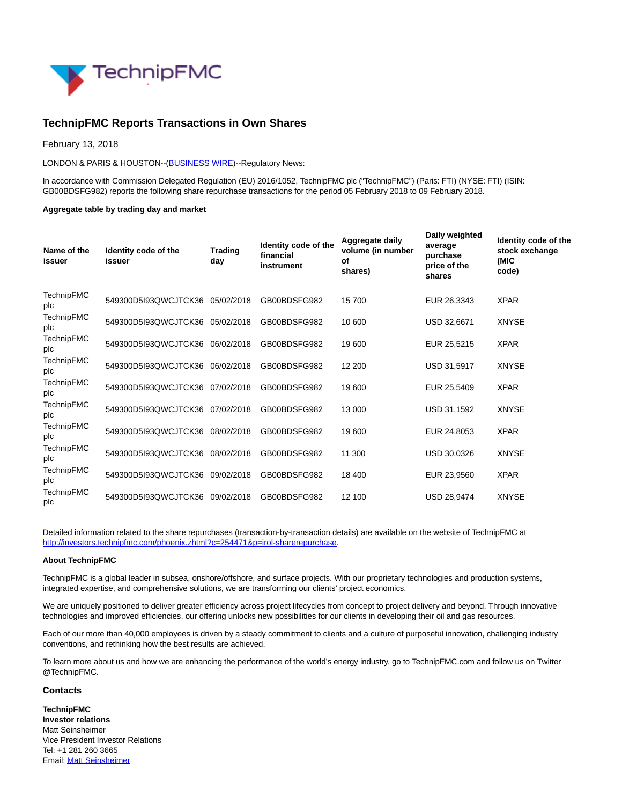

## **TechnipFMC Reports Transactions in Own Shares**

February 13, 2018

LONDON & PARIS & HOUSTON--[\(BUSINESS WIRE\)](https://www.businesswire.com/)--Regulatory News:

In accordance with Commission Delegated Regulation (EU) 2016/1052, TechnipFMC plc ("TechnipFMC") (Paris: FTI) (NYSE: FTI) (ISIN: GB00BDSFG982) reports the following share repurchase transactions for the period 05 February 2018 to 09 February 2018.

## **Aggregate table by trading day and market**

| Name of the<br>issuer    | Identity code of the<br>issuer  | <b>Trading</b><br>day | Identity code of the<br>financial<br>instrument | Aggregate daily<br>volume (in number<br>οf<br>shares) | Daily weighted<br>average<br>purchase<br>price of the<br>shares | Identity code of the<br>stock exchange<br>(MIC<br>code) |
|--------------------------|---------------------------------|-----------------------|-------------------------------------------------|-------------------------------------------------------|-----------------------------------------------------------------|---------------------------------------------------------|
| <b>TechnipFMC</b><br>plc | 549300D5I93QWCJTCK36            | 05/02/2018            | GB00BDSFG982                                    | 15700                                                 | EUR 26,3343                                                     | <b>XPAR</b>                                             |
| <b>TechnipFMC</b><br>plc | 549300D5I93QWCJTCK36 05/02/2018 |                       | GB00BDSFG982                                    | 10 600                                                | USD 32,6671                                                     | <b>XNYSE</b>                                            |
| <b>TechnipFMC</b><br>plc | 549300D5I93QWCJTCK36 06/02/2018 |                       | GB00BDSFG982                                    | 19 600                                                | EUR 25,5215                                                     | <b>XPAR</b>                                             |
| <b>TechnipFMC</b><br>plc | 549300D5I93QWCJTCK36 06/02/2018 |                       | GB00BDSFG982                                    | 12 200                                                | USD 31,5917                                                     | <b>XNYSE</b>                                            |
| <b>TechnipFMC</b><br>plc | 549300D5I93QWCJTCK36            | 07/02/2018            | GB00BDSFG982                                    | 19 600                                                | EUR 25,5409                                                     | <b>XPAR</b>                                             |
| <b>TechnipFMC</b><br>plc | 549300D5I93QWCJTCK36            | 07/02/2018            | GB00BDSFG982                                    | 13 000                                                | USD 31,1592                                                     | <b>XNYSE</b>                                            |
| <b>TechnipFMC</b><br>plc | 549300D5I93QWCJTCK36            | 08/02/2018            | GB00BDSFG982                                    | 19 600                                                | EUR 24,8053                                                     | <b>XPAR</b>                                             |
| <b>TechnipFMC</b><br>plc | 549300D5I93QWCJTCK36            | 08/02/2018            | GB00BDSFG982                                    | 11 300                                                | USD 30,0326                                                     | <b>XNYSE</b>                                            |
| <b>TechnipFMC</b><br>plc | 549300D5I93QWCJTCK36            | 09/02/2018            | GB00BDSFG982                                    | 18 400                                                | EUR 23,9560                                                     | <b>XPAR</b>                                             |
| <b>TechnipFMC</b><br>plc | 549300D5I93QWCJTCK36            | 09/02/2018            | GB00BDSFG982                                    | 12 100                                                | <b>USD 28.9474</b>                                              | <b>XNYSE</b>                                            |

Detailed information related to the share repurchases (transaction-by-transaction details) are available on the website of TechnipFMC at [http://investors.technipfmc.com/phoenix.zhtml?c=254471&p=irol-sharerepurchase.](http://cts.businesswire.com/ct/CT?id=smartlink&url=http%3A%2F%2Finvestors.technipfmc.com%2Fphoenix.zhtml%3Fc%3D254471%26p%3Dirol-sharerepurchase&esheet=51758217&newsitemid=20180213006435&lan=en-US&anchor=http%3A%2F%2Finvestors.technipfmc.com%2Fphoenix.zhtml%3Fc%3D254471%26p%3Dirol-sharerepurchase&index=1&md5=b1e5083a04c09103fc904ba3607a3b0b)

## **About TechnipFMC**

TechnipFMC is a global leader in subsea, onshore/offshore, and surface projects. With our proprietary technologies and production systems, integrated expertise, and comprehensive solutions, we are transforming our clients' project economics.

We are uniquely positioned to deliver greater efficiency across project lifecycles from concept to project delivery and beyond. Through innovative technologies and improved efficiencies, our offering unlocks new possibilities for our clients in developing their oil and gas resources.

Each of our more than 40,000 employees is driven by a steady commitment to clients and a culture of purposeful innovation, challenging industry conventions, and rethinking how the best results are achieved.

To learn more about us and how we are enhancing the performance of the world's energy industry, go to TechnipFMC.com and follow us on Twitter @TechnipFMC.

## **Contacts**

**TechnipFMC Investor relations** Matt Seinsheimer Vice President Investor Relations Tel: +1 281 260 3665 Email[: Matt Seinsheimer](mailto:InvestorRelations@TechnipFMC.com)